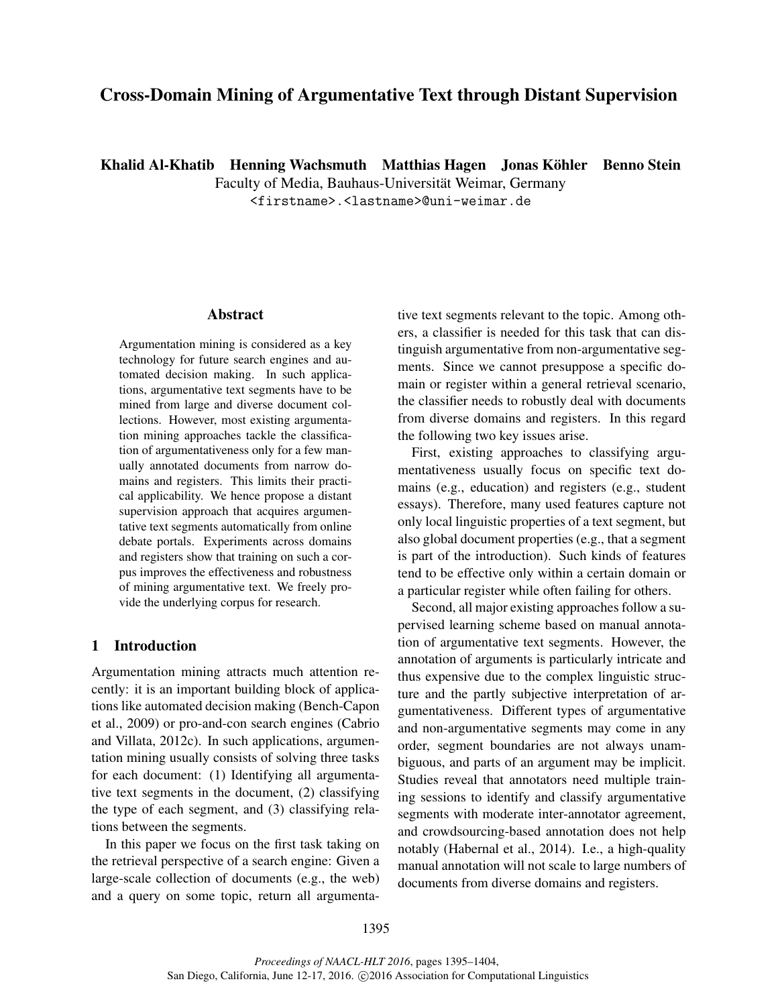# Cross-Domain Mining of Argumentative Text through Distant Supervision

Khalid Al-Khatib Henning Wachsmuth Matthias Hagen Jonas Köhler Benno Stein

Faculty of Media, Bauhaus-Universität Weimar, Germany

<firstname>.<lastname>@uni-weimar.de

### Abstract

Argumentation mining is considered as a key technology for future search engines and automated decision making. In such applications, argumentative text segments have to be mined from large and diverse document collections. However, most existing argumentation mining approaches tackle the classification of argumentativeness only for a few manually annotated documents from narrow domains and registers. This limits their practical applicability. We hence propose a distant supervision approach that acquires argumentative text segments automatically from online debate portals. Experiments across domains and registers show that training on such a corpus improves the effectiveness and robustness of mining argumentative text. We freely provide the underlying corpus for research.

# 1 Introduction

Argumentation mining attracts much attention recently: it is an important building block of applications like automated decision making (Bench-Capon et al., 2009) or pro-and-con search engines (Cabrio and Villata, 2012c). In such applications, argumentation mining usually consists of solving three tasks for each document: (1) Identifying all argumentative text segments in the document, (2) classifying the type of each segment, and (3) classifying relations between the segments.

In this paper we focus on the first task taking on the retrieval perspective of a search engine: Given a large-scale collection of documents (e.g., the web) and a query on some topic, return all argumentative text segments relevant to the topic. Among others, a classifier is needed for this task that can distinguish argumentative from non-argumentative segments. Since we cannot presuppose a specific domain or register within a general retrieval scenario, the classifier needs to robustly deal with documents from diverse domains and registers. In this regard the following two key issues arise.

First, existing approaches to classifying argumentativeness usually focus on specific text domains (e.g., education) and registers (e.g., student essays). Therefore, many used features capture not only local linguistic properties of a text segment, but also global document properties (e.g., that a segment is part of the introduction). Such kinds of features tend to be effective only within a certain domain or a particular register while often failing for others.

Second, all major existing approaches follow a supervised learning scheme based on manual annotation of argumentative text segments. However, the annotation of arguments is particularly intricate and thus expensive due to the complex linguistic structure and the partly subjective interpretation of argumentativeness. Different types of argumentative and non-argumentative segments may come in any order, segment boundaries are not always unambiguous, and parts of an argument may be implicit. Studies reveal that annotators need multiple training sessions to identify and classify argumentative segments with moderate inter-annotator agreement, and crowdsourcing-based annotation does not help notably (Habernal et al., 2014). I.e., a high-quality manual annotation will not scale to large numbers of documents from diverse domains and registers.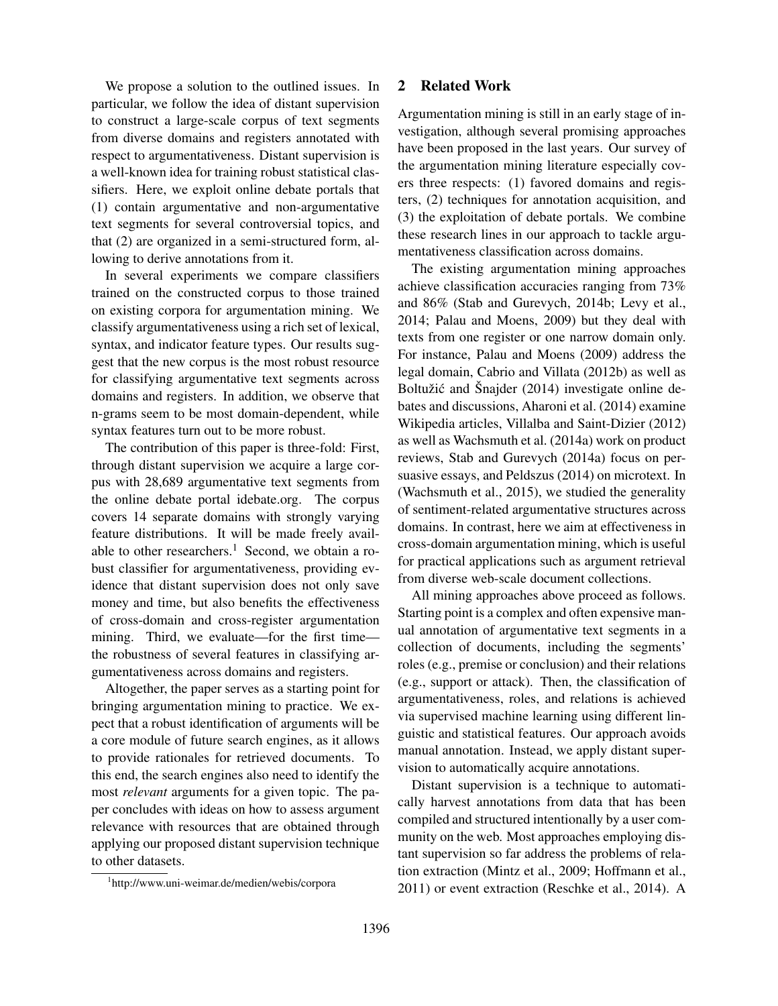We propose a solution to the outlined issues. In particular, we follow the idea of distant supervision to construct a large-scale corpus of text segments from diverse domains and registers annotated with respect to argumentativeness. Distant supervision is a well-known idea for training robust statistical classifiers. Here, we exploit online debate portals that (1) contain argumentative and non-argumentative text segments for several controversial topics, and that (2) are organized in a semi-structured form, allowing to derive annotations from it.

In several experiments we compare classifiers trained on the constructed corpus to those trained on existing corpora for argumentation mining. We classify argumentativeness using a rich set of lexical, syntax, and indicator feature types. Our results suggest that the new corpus is the most robust resource for classifying argumentative text segments across domains and registers. In addition, we observe that n-grams seem to be most domain-dependent, while syntax features turn out to be more robust.

The contribution of this paper is three-fold: First, through distant supervision we acquire a large corpus with 28,689 argumentative text segments from the online debate portal idebate.org. The corpus covers 14 separate domains with strongly varying feature distributions. It will be made freely available to other researchers.<sup>1</sup> Second, we obtain a robust classifier for argumentativeness, providing evidence that distant supervision does not only save money and time, but also benefits the effectiveness of cross-domain and cross-register argumentation mining. Third, we evaluate—for the first time the robustness of several features in classifying argumentativeness across domains and registers.

Altogether, the paper serves as a starting point for bringing argumentation mining to practice. We expect that a robust identification of arguments will be a core module of future search engines, as it allows to provide rationales for retrieved documents. To this end, the search engines also need to identify the most *relevant* arguments for a given topic. The paper concludes with ideas on how to assess argument relevance with resources that are obtained through applying our proposed distant supervision technique to other datasets.

## 2 Related Work

Argumentation mining is still in an early stage of investigation, although several promising approaches have been proposed in the last years. Our survey of the argumentation mining literature especially covers three respects: (1) favored domains and registers, (2) techniques for annotation acquisition, and (3) the exploitation of debate portals. We combine these research lines in our approach to tackle argumentativeness classification across domains.

The existing argumentation mining approaches achieve classification accuracies ranging from 73% and 86% (Stab and Gurevych, 2014b; Levy et al., 2014; Palau and Moens, 2009) but they deal with texts from one register or one narrow domain only. For instance, Palau and Moens (2009) address the legal domain, Cabrio and Villata (2012b) as well as Boltužić and Šnajder (2014) investigate online debates and discussions, Aharoni et al. (2014) examine Wikipedia articles, Villalba and Saint-Dizier (2012) as well as Wachsmuth et al. (2014a) work on product reviews, Stab and Gurevych (2014a) focus on persuasive essays, and Peldszus (2014) on microtext. In (Wachsmuth et al., 2015), we studied the generality of sentiment-related argumentative structures across domains. In contrast, here we aim at effectiveness in cross-domain argumentation mining, which is useful for practical applications such as argument retrieval from diverse web-scale document collections.

All mining approaches above proceed as follows. Starting point is a complex and often expensive manual annotation of argumentative text segments in a collection of documents, including the segments' roles (e.g., premise or conclusion) and their relations (e.g., support or attack). Then, the classification of argumentativeness, roles, and relations is achieved via supervised machine learning using different linguistic and statistical features. Our approach avoids manual annotation. Instead, we apply distant supervision to automatically acquire annotations.

Distant supervision is a technique to automatically harvest annotations from data that has been compiled and structured intentionally by a user community on the web. Most approaches employing distant supervision so far address the problems of relation extraction (Mintz et al., 2009; Hoffmann et al., 2011) or event extraction (Reschke et al., 2014). A

<sup>1</sup> http://www.uni-weimar.de/medien/webis/corpora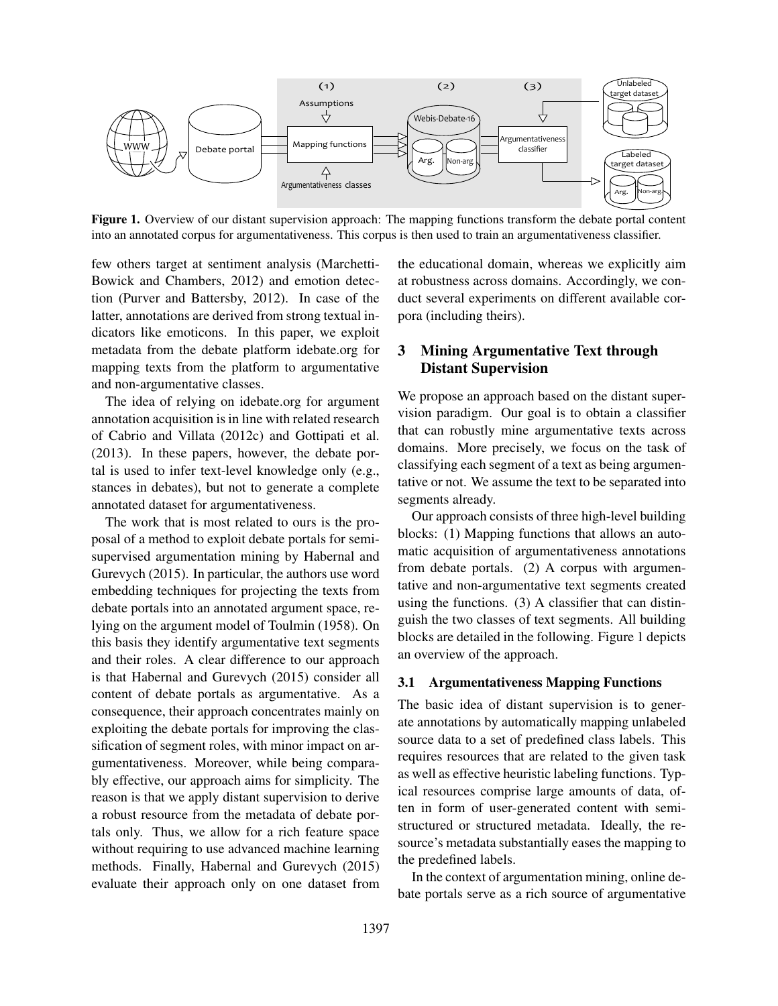

Figure 1. Overview of our distant supervision approach: The mapping functions transform the debate portal content into an annotated corpus for argumentativeness. This corpus is then used to train an argumentativeness classifier.

few others target at sentiment analysis (Marchetti-Bowick and Chambers, 2012) and emotion detection (Purver and Battersby, 2012). In case of the latter, annotations are derived from strong textual indicators like emoticons. In this paper, we exploit metadata from the debate platform idebate.org for mapping texts from the platform to argumentative and non-argumentative classes.

The idea of relying on idebate.org for argument annotation acquisition is in line with related research of Cabrio and Villata (2012c) and Gottipati et al. (2013). In these papers, however, the debate portal is used to infer text-level knowledge only (e.g., stances in debates), but not to generate a complete annotated dataset for argumentativeness.

The work that is most related to ours is the proposal of a method to exploit debate portals for semisupervised argumentation mining by Habernal and Gurevych (2015). In particular, the authors use word embedding techniques for projecting the texts from debate portals into an annotated argument space, relying on the argument model of Toulmin (1958). On this basis they identify argumentative text segments and their roles. A clear difference to our approach is that Habernal and Gurevych (2015) consider all content of debate portals as argumentative. As a consequence, their approach concentrates mainly on exploiting the debate portals for improving the classification of segment roles, with minor impact on argumentativeness. Moreover, while being comparably effective, our approach aims for simplicity. The reason is that we apply distant supervision to derive a robust resource from the metadata of debate portals only. Thus, we allow for a rich feature space without requiring to use advanced machine learning methods. Finally, Habernal and Gurevych (2015) evaluate their approach only on one dataset from the educational domain, whereas we explicitly aim at robustness across domains. Accordingly, we conduct several experiments on different available corpora (including theirs).

# 3 Mining Argumentative Text through Distant Supervision

We propose an approach based on the distant supervision paradigm. Our goal is to obtain a classifier that can robustly mine argumentative texts across domains. More precisely, we focus on the task of classifying each segment of a text as being argumentative or not. We assume the text to be separated into segments already.

Our approach consists of three high-level building blocks: (1) Mapping functions that allows an automatic acquisition of argumentativeness annotations from debate portals. (2) A corpus with argumentative and non-argumentative text segments created using the functions. (3) A classifier that can distinguish the two classes of text segments. All building blocks are detailed in the following. Figure 1 depicts an overview of the approach.

#### 3.1 Argumentativeness Mapping Functions

The basic idea of distant supervision is to generate annotations by automatically mapping unlabeled source data to a set of predefined class labels. This requires resources that are related to the given task as well as effective heuristic labeling functions. Typical resources comprise large amounts of data, often in form of user-generated content with semistructured or structured metadata. Ideally, the resource's metadata substantially eases the mapping to the predefined labels.

In the context of argumentation mining, online debate portals serve as a rich source of argumentative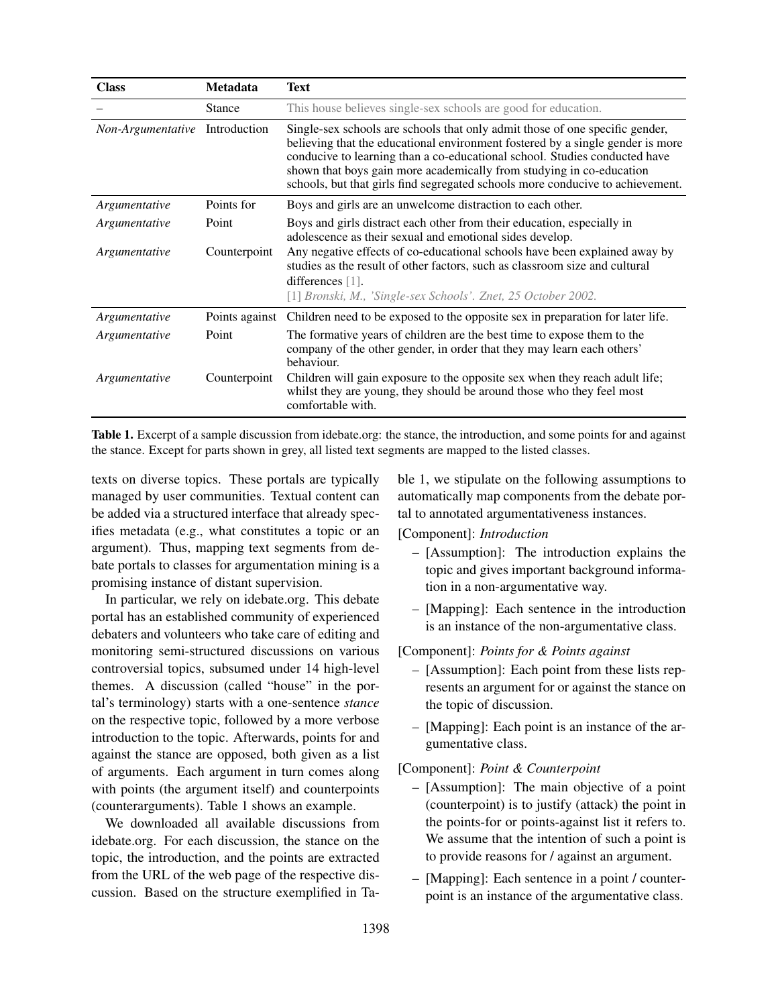| <b>Class</b>                   | <b>Metadata</b> | <b>Text</b>                                                                                                                                                                                                                                                                                                                                                                                            |
|--------------------------------|-----------------|--------------------------------------------------------------------------------------------------------------------------------------------------------------------------------------------------------------------------------------------------------------------------------------------------------------------------------------------------------------------------------------------------------|
|                                | <b>Stance</b>   | This house believes single-sex schools are good for education.                                                                                                                                                                                                                                                                                                                                         |
| Non-Argumentative Introduction |                 | Single-sex schools are schools that only admit those of one specific gender,<br>believing that the educational environment fostered by a single gender is more<br>conducive to learning than a co-educational school. Studies conducted have<br>shown that boys gain more academically from studying in co-education<br>schools, but that girls find segregated schools more conducive to achievement. |
| Argumentative                  | Points for      | Boys and girls are an unwelcome distraction to each other.                                                                                                                                                                                                                                                                                                                                             |
| Argumentative                  | Point           | Boys and girls distract each other from their education, especially in<br>adolescence as their sexual and emotional sides develop.                                                                                                                                                                                                                                                                     |
| Argumentative                  | Counterpoint    | Any negative effects of co-educational schools have been explained away by<br>studies as the result of other factors, such as classroom size and cultural<br>differences [1].<br>[1] Bronski, M., 'Single-sex Schools'. Znet, 25 October 2002.                                                                                                                                                         |
| Argumentative                  | Points against  | Children need to be exposed to the opposite sex in preparation for later life.                                                                                                                                                                                                                                                                                                                         |
| Argumentative                  | Point           | The formative years of children are the best time to expose them to the<br>company of the other gender, in order that they may learn each others'<br>behaviour.                                                                                                                                                                                                                                        |
| Argumentative                  | Counterpoint    | Children will gain exposure to the opposite sex when they reach adult life;<br>whilst they are young, they should be around those who they feel most<br>comfortable with.                                                                                                                                                                                                                              |

Table 1. Excerpt of a sample discussion from idebate.org: the stance, the introduction, and some points for and against the stance. Except for parts shown in grey, all listed text segments are mapped to the listed classes.

texts on diverse topics. These portals are typically managed by user communities. Textual content can be added via a structured interface that already specifies metadata (e.g., what constitutes a topic or an argument). Thus, mapping text segments from debate portals to classes for argumentation mining is a promising instance of distant supervision.

In particular, we rely on idebate.org. This debate portal has an established community of experienced debaters and volunteers who take care of editing and monitoring semi-structured discussions on various controversial topics, subsumed under 14 high-level themes. A discussion (called "house" in the portal's terminology) starts with a one-sentence *stance* on the respective topic, followed by a more verbose introduction to the topic. Afterwards, points for and against the stance are opposed, both given as a list of arguments. Each argument in turn comes along with points (the argument itself) and counterpoints (counterarguments). Table 1 shows an example.

We downloaded all available discussions from idebate.org. For each discussion, the stance on the topic, the introduction, and the points are extracted from the URL of the web page of the respective discussion. Based on the structure exemplified in Table 1, we stipulate on the following assumptions to automatically map components from the debate portal to annotated argumentativeness instances.

[Component]: *Introduction*

- [Assumption]: The introduction explains the topic and gives important background information in a non-argumentative way.
- [Mapping]: Each sentence in the introduction is an instance of the non-argumentative class.

### [Component]: *Points for & Points against*

- [Assumption]: Each point from these lists represents an argument for or against the stance on the topic of discussion.
- [Mapping]: Each point is an instance of the argumentative class.

#### [Component]: *Point & Counterpoint*

- [Assumption]: The main objective of a point (counterpoint) is to justify (attack) the point in the points-for or points-against list it refers to. We assume that the intention of such a point is to provide reasons for / against an argument.
- [Mapping]: Each sentence in a point / counterpoint is an instance of the argumentative class.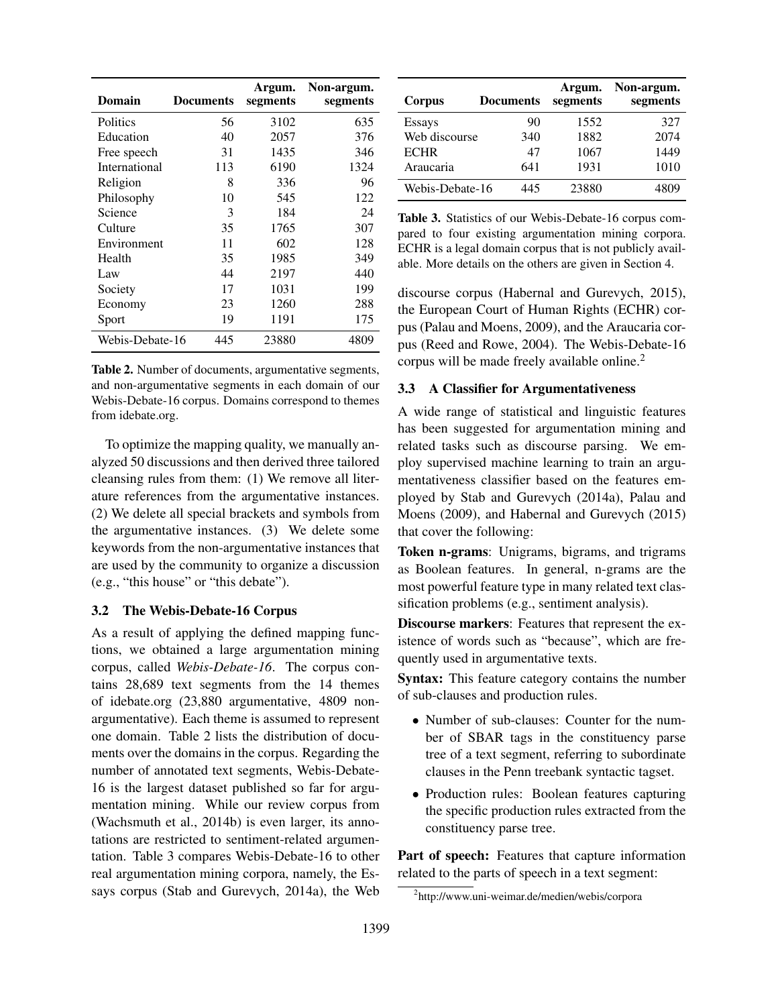| Domain          | <b>Documents</b> | Argum.<br>segments | Non-argum.<br>segments |
|-----------------|------------------|--------------------|------------------------|
| <b>Politics</b> | 56               | 3102               | 635                    |
| Education       | 40               | 2057               | 376                    |
| Free speech     | 31               | 1435               | 346                    |
| International   | 113              | 6190               | 1324                   |
| Religion        | 8                | 336                | 96                     |
| Philosophy      | 10               | 545                | 122                    |
| Science         | 3                | 184                | 24                     |
| Culture         | 35               | 1765               | 307                    |
| Environment     | 11               | 602                | 128                    |
| Health          | 35               | 1985               | 349                    |
| Law             | 44               | 2197               | 440                    |
| Society         | 17               | 1031               | 199                    |
| Economy         | 23               | 1260               | 288                    |
| Sport           | 19               | 1191               | 175                    |
| Webis-Debate-16 | 445              | 23880              | 4809                   |

Table 2. Number of documents, argumentative segments, and non-argumentative segments in each domain of our Webis-Debate-16 corpus. Domains correspond to themes from idebate.org.

To optimize the mapping quality, we manually analyzed 50 discussions and then derived three tailored cleansing rules from them: (1) We remove all literature references from the argumentative instances. (2) We delete all special brackets and symbols from the argumentative instances. (3) We delete some keywords from the non-argumentative instances that are used by the community to organize a discussion (e.g., "this house" or "this debate").

## 3.2 The Webis-Debate-16 Corpus

As a result of applying the defined mapping functions, we obtained a large argumentation mining corpus, called *Webis-Debate-16*. The corpus contains 28,689 text segments from the 14 themes of idebate.org (23,880 argumentative, 4809 nonargumentative). Each theme is assumed to represent one domain. Table 2 lists the distribution of documents over the domains in the corpus. Regarding the number of annotated text segments, Webis-Debate-16 is the largest dataset published so far for argumentation mining. While our review corpus from (Wachsmuth et al., 2014b) is even larger, its annotations are restricted to sentiment-related argumentation. Table 3 compares Webis-Debate-16 to other real argumentation mining corpora, namely, the Essays corpus (Stab and Gurevych, 2014a), the Web

| Corpus          | <b>Documents</b> | Argum.<br>segments | Non-argum.<br>segments |
|-----------------|------------------|--------------------|------------------------|
| Essays          | 90               | 1552               | 327                    |
| Web discourse   | 340              | 1882               | 2074                   |
| <b>ECHR</b>     | 47               | 1067               | 1449                   |
| Araucaria       | 641              | 1931               | 1010                   |
| Webis-Debate-16 | 445              | 23880              | 4809                   |

Table 3. Statistics of our Webis-Debate-16 corpus compared to four existing argumentation mining corpora. ECHR is a legal domain corpus that is not publicly available. More details on the others are given in Section 4.

discourse corpus (Habernal and Gurevych, 2015), the European Court of Human Rights (ECHR) corpus (Palau and Moens, 2009), and the Araucaria corpus (Reed and Rowe, 2004). The Webis-Debate-16 corpus will be made freely available online.<sup>2</sup>

#### 3.3 A Classifier for Argumentativeness

A wide range of statistical and linguistic features has been suggested for argumentation mining and related tasks such as discourse parsing. We employ supervised machine learning to train an argumentativeness classifier based on the features employed by Stab and Gurevych (2014a), Palau and Moens (2009), and Habernal and Gurevych (2015) that cover the following:

Token n-grams: Unigrams, bigrams, and trigrams as Boolean features. In general, n-grams are the most powerful feature type in many related text classification problems (e.g., sentiment analysis).

Discourse markers: Features that represent the existence of words such as "because", which are frequently used in argumentative texts.

Syntax: This feature category contains the number of sub-clauses and production rules.

- Number of sub-clauses: Counter for the number of SBAR tags in the constituency parse tree of a text segment, referring to subordinate clauses in the Penn treebank syntactic tagset.
- Production rules: Boolean features capturing the specific production rules extracted from the constituency parse tree.

Part of speech: Features that capture information related to the parts of speech in a text segment:

<sup>2</sup> http://www.uni-weimar.de/medien/webis/corpora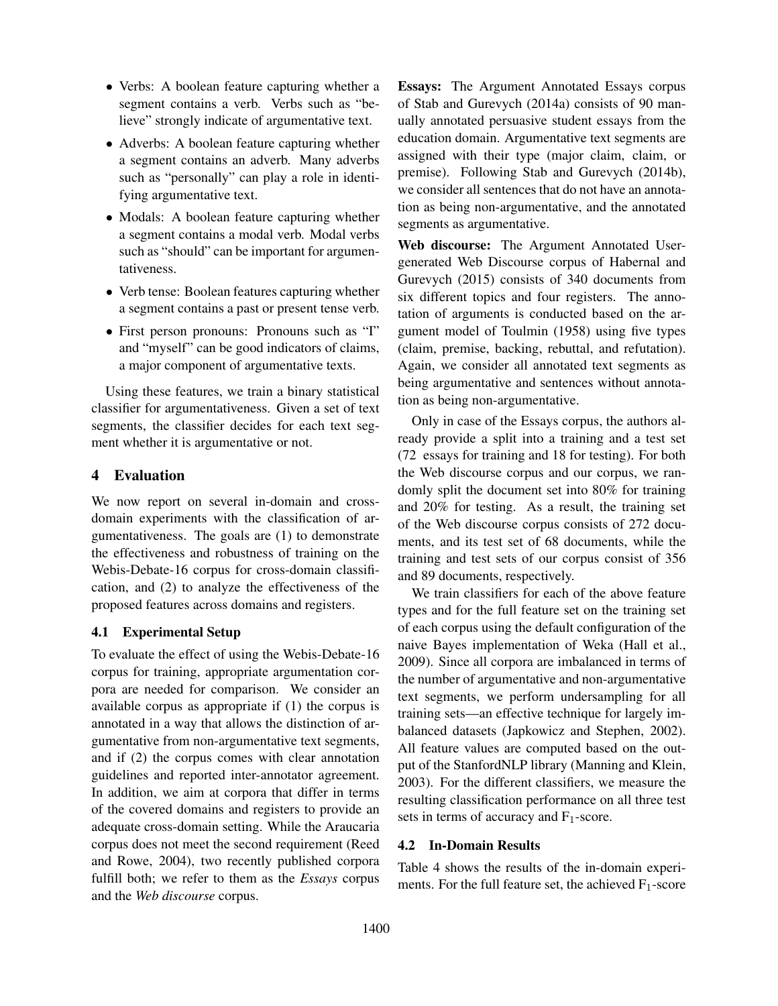- Verbs: A boolean feature capturing whether a segment contains a verb. Verbs such as "believe" strongly indicate of argumentative text.
- Adverbs: A boolean feature capturing whether a segment contains an adverb. Many adverbs such as "personally" can play a role in identifying argumentative text.
- Modals: A boolean feature capturing whether a segment contains a modal verb. Modal verbs such as "should" can be important for argumentativeness.
- Verb tense: Boolean features capturing whether a segment contains a past or present tense verb.
- First person pronouns: Pronouns such as "I" and "myself" can be good indicators of claims, a major component of argumentative texts.

Using these features, we train a binary statistical classifier for argumentativeness. Given a set of text segments, the classifier decides for each text segment whether it is argumentative or not.

# 4 Evaluation

We now report on several in-domain and crossdomain experiments with the classification of argumentativeness. The goals are (1) to demonstrate the effectiveness and robustness of training on the Webis-Debate-16 corpus for cross-domain classification, and (2) to analyze the effectiveness of the proposed features across domains and registers.

# 4.1 Experimental Setup

To evaluate the effect of using the Webis-Debate-16 corpus for training, appropriate argumentation corpora are needed for comparison. We consider an available corpus as appropriate if (1) the corpus is annotated in a way that allows the distinction of argumentative from non-argumentative text segments, and if (2) the corpus comes with clear annotation guidelines and reported inter-annotator agreement. In addition, we aim at corpora that differ in terms of the covered domains and registers to provide an adequate cross-domain setting. While the Araucaria corpus does not meet the second requirement (Reed and Rowe, 2004), two recently published corpora fulfill both; we refer to them as the *Essays* corpus and the *Web discourse* corpus.

Essays: The Argument Annotated Essays corpus of Stab and Gurevych (2014a) consists of 90 manually annotated persuasive student essays from the education domain. Argumentative text segments are assigned with their type (major claim, claim, or premise). Following Stab and Gurevych (2014b), we consider all sentences that do not have an annotation as being non-argumentative, and the annotated segments as argumentative.

Web discourse: The Argument Annotated Usergenerated Web Discourse corpus of Habernal and Gurevych (2015) consists of 340 documents from six different topics and four registers. The annotation of arguments is conducted based on the argument model of Toulmin (1958) using five types (claim, premise, backing, rebuttal, and refutation). Again, we consider all annotated text segments as being argumentative and sentences without annotation as being non-argumentative.

Only in case of the Essays corpus, the authors already provide a split into a training and a test set (72 essays for training and 18 for testing). For both the Web discourse corpus and our corpus, we randomly split the document set into 80% for training and 20% for testing. As a result, the training set of the Web discourse corpus consists of 272 documents, and its test set of 68 documents, while the training and test sets of our corpus consist of 356 and 89 documents, respectively.

We train classifiers for each of the above feature types and for the full feature set on the training set of each corpus using the default configuration of the naive Bayes implementation of Weka (Hall et al., 2009). Since all corpora are imbalanced in terms of the number of argumentative and non-argumentative text segments, we perform undersampling for all training sets—an effective technique for largely imbalanced datasets (Japkowicz and Stephen, 2002). All feature values are computed based on the output of the StanfordNLP library (Manning and Klein, 2003). For the different classifiers, we measure the resulting classification performance on all three test sets in terms of accuracy and  $F_1$ -score.

# 4.2 In-Domain Results

Table 4 shows the results of the in-domain experiments. For the full feature set, the achieved  $F_1$ -score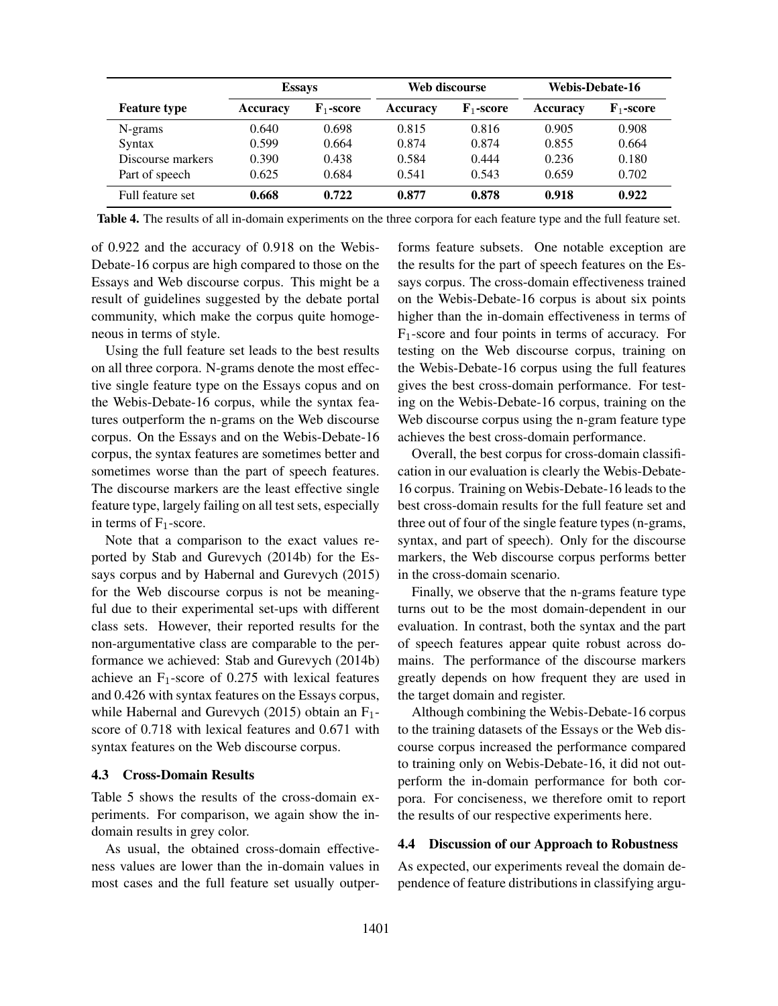|                     | <b>Essays</b>   |                       | Web discourse |                       | <b>Webis-Debate-16</b> |                       |
|---------------------|-----------------|-----------------------|---------------|-----------------------|------------------------|-----------------------|
| <b>Feature type</b> | <b>Accuracy</b> | $\mathbf{F}_1$ -score | Accuracy      | $\mathbf{F}_1$ -score | Accuracy               | $\mathbf{F}_1$ -score |
| N-grams             | 0.640           | 0.698                 | 0.815         | 0.816                 | 0.905                  | 0.908                 |
| Syntax              | 0.599           | 0.664                 | 0.874         | 0.874                 | 0.855                  | 0.664                 |
| Discourse markers   | 0.390           | 0.438                 | 0.584         | 0.444                 | 0.236                  | 0.180                 |
| Part of speech      | 0.625           | 0.684                 | 0.541         | 0.543                 | 0.659                  | 0.702                 |
| Full feature set    | 0.668           | 0.722                 | 0.877         | 0.878                 | 0.918                  | 0.922                 |

Table 4. The results of all in-domain experiments on the three corpora for each feature type and the full feature set.

of 0.922 and the accuracy of 0.918 on the Webis-Debate-16 corpus are high compared to those on the Essays and Web discourse corpus. This might be a result of guidelines suggested by the debate portal community, which make the corpus quite homogeneous in terms of style.

Using the full feature set leads to the best results on all three corpora. N-grams denote the most effective single feature type on the Essays copus and on the Webis-Debate-16 corpus, while the syntax features outperform the n-grams on the Web discourse corpus. On the Essays and on the Webis-Debate-16 corpus, the syntax features are sometimes better and sometimes worse than the part of speech features. The discourse markers are the least effective single feature type, largely failing on all test sets, especially in terms of  $F_1$ -score.

Note that a comparison to the exact values reported by Stab and Gurevych (2014b) for the Essays corpus and by Habernal and Gurevych (2015) for the Web discourse corpus is not be meaningful due to their experimental set-ups with different class sets. However, their reported results for the non-argumentative class are comparable to the performance we achieved: Stab and Gurevych (2014b) achieve an  $F_1$ -score of 0.275 with lexical features and 0.426 with syntax features on the Essays corpus, while Habernal and Gurevych (2015) obtain an F<sub>1</sub>score of 0.718 with lexical features and 0.671 with syntax features on the Web discourse corpus.

### 4.3 Cross-Domain Results

Table 5 shows the results of the cross-domain experiments. For comparison, we again show the indomain results in grey color.

As usual, the obtained cross-domain effectiveness values are lower than the in-domain values in most cases and the full feature set usually outperforms feature subsets. One notable exception are the results for the part of speech features on the Essays corpus. The cross-domain effectiveness trained on the Webis-Debate-16 corpus is about six points higher than the in-domain effectiveness in terms of  $F_1$ -score and four points in terms of accuracy. For testing on the Web discourse corpus, training on the Webis-Debate-16 corpus using the full features gives the best cross-domain performance. For testing on the Webis-Debate-16 corpus, training on the Web discourse corpus using the n-gram feature type achieves the best cross-domain performance.

Overall, the best corpus for cross-domain classification in our evaluation is clearly the Webis-Debate-16 corpus. Training on Webis-Debate-16 leads to the best cross-domain results for the full feature set and three out of four of the single feature types (n-grams, syntax, and part of speech). Only for the discourse markers, the Web discourse corpus performs better in the cross-domain scenario.

Finally, we observe that the n-grams feature type turns out to be the most domain-dependent in our evaluation. In contrast, both the syntax and the part of speech features appear quite robust across domains. The performance of the discourse markers greatly depends on how frequent they are used in the target domain and register.

Although combining the Webis-Debate-16 corpus to the training datasets of the Essays or the Web discourse corpus increased the performance compared to training only on Webis-Debate-16, it did not outperform the in-domain performance for both corpora. For conciseness, we therefore omit to report the results of our respective experiments here.

#### 4.4 Discussion of our Approach to Robustness

As expected, our experiments reveal the domain dependence of feature distributions in classifying argu-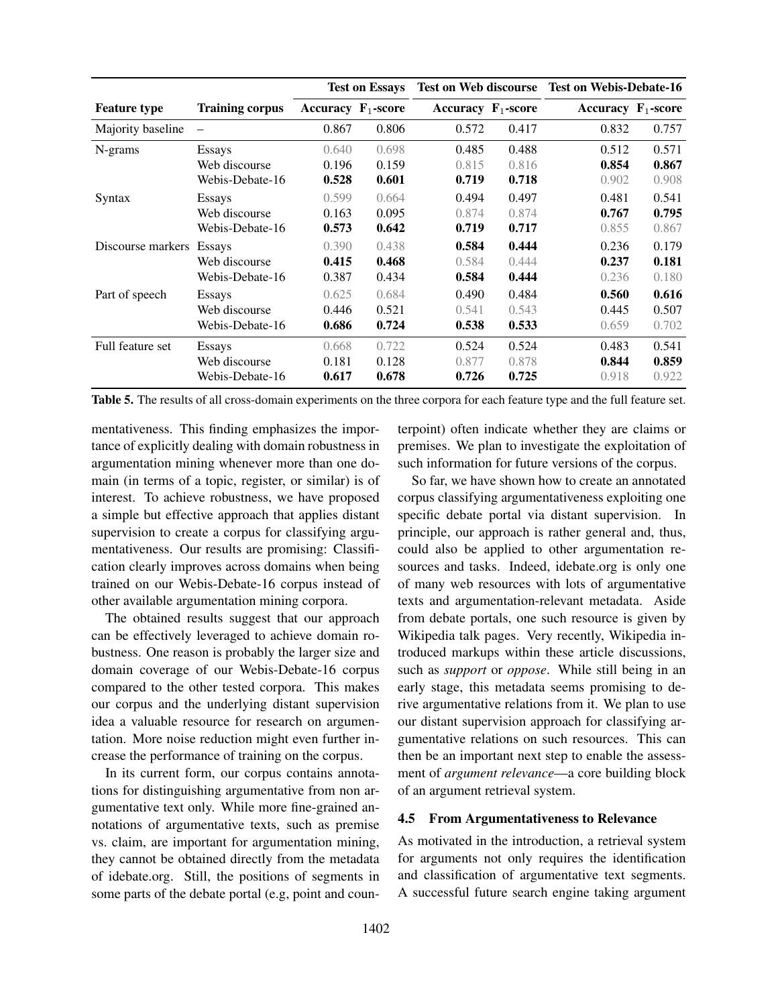|                     |                        | <b>Test on Essays</b> |       |                       |       | Test on Web discourse Test on Webis-Debate-16 |       |
|---------------------|------------------------|-----------------------|-------|-----------------------|-------|-----------------------------------------------|-------|
| <b>Feature type</b> | <b>Training corpus</b> | Accuracy $F_1$ -score |       | Accuracy $F_1$ -score |       | Accuracy $F_1$ -score                         |       |
| Majority baseline   |                        | 0.867                 | 0.806 | 0.572                 | 0.417 | 0.832                                         | 0.757 |
| N-grams             | <b>Essays</b>          | 0.640                 | 0.698 | 0.485                 | 0.488 | 0.512                                         | 0.571 |
|                     | Web discourse          | 0.196                 | 0.159 | 0.815                 | 0.816 | 0.854                                         | 0.867 |
|                     | Webis-Debate-16        | 0.528                 | 0.601 | 0.719                 | 0.718 | 0.902                                         | 0.908 |
| Syntax              | <b>Essays</b>          | 0.599                 | 0.664 | 0.494                 | 0.497 | 0.481                                         | 0.541 |
|                     | Web discourse          | 0.163                 | 0.095 | 0.874                 | 0.874 | 0.767                                         | 0.795 |
|                     | Webis-Debate-16        | 0.573                 | 0.642 | 0.719                 | 0.717 | 0.855                                         | 0.867 |
| Discourse markers   | <b>Essays</b>          | 0.390                 | 0.438 | 0.584                 | 0.444 | 0.236                                         | 0.179 |
|                     | Web discourse          | 0.415                 | 0.468 | 0.584                 | 0.444 | 0.237                                         | 0.181 |
|                     | Webis-Debate-16        | 0.387                 | 0.434 | 0.584                 | 0.444 | 0.236                                         | 0.180 |
| Part of speech      | <b>Essays</b>          | 0.625                 | 0.684 | 0.490                 | 0.484 | 0.560                                         | 0.616 |
|                     | Web discourse          | 0.446                 | 0.521 | 0.541                 | 0.543 | 0.445                                         | 0.507 |
|                     | Webis-Debate-16        | 0.686                 | 0.724 | 0.538                 | 0.533 | 0.659                                         | 0.702 |
| Full feature set    | <b>Essays</b>          | 0.668                 | 0.722 | 0.524                 | 0.524 | 0.483                                         | 0.541 |
|                     | Web discourse          | 0.181                 | 0.128 | 0.877                 | 0.878 | 0.844                                         | 0.859 |
|                     | Webis-Debate-16        | 0.617                 | 0.678 | 0.726                 | 0.725 | 0.918                                         | 0.922 |

Table 5. The results of all cross-domain experiments on the three corpora for each feature type and the full feature set.

mentativeness. This finding emphasizes the importance of explicitly dealing with domain robustness in argumentation mining whenever more than one domain (in terms of a topic, register, or similar) is of interest. To achieve robustness, we have proposed a simple but effective approach that applies distant supervision to create a corpus for classifying argumentativeness. Our results are promising: Classification clearly improves across domains when being trained on our Webis-Debate-16 corpus instead of other available argumentation mining corpora.

The obtained results suggest that our approach can be effectively leveraged to achieve domain robustness. One reason is probably the larger size and domain coverage of our Webis-Debate-16 corpus compared to the other tested corpora. This makes our corpus and the underlying distant supervision idea a valuable resource for research on argumentation. More noise reduction might even further increase the performance of training on the corpus.

In its current form, our corpus contains annotations for distinguishing argumentative from non argumentative text only. While more fine-grained annotations of argumentative texts, such as premise vs. claim, are important for argumentation mining, they cannot be obtained directly from the metadata of idebate.org. Still, the positions of segments in some parts of the debate portal (e.g, point and coun-

of an argument retrieval system.

# 4.5 From Argumentativeness to Relevance

As motivated in the introduction, a retrieval system for arguments not only requires the identification and classification of argumentative text segments. A successful future search engine taking argument

terpoint) often indicate whether they are claims or premises. We plan to investigate the exploitation of such information for future versions of the corpus. So far, we have shown how to create an annotated corpus classifying argumentativeness exploiting one specific debate portal via distant supervision. In principle, our approach is rather general and, thus, could also be applied to other argumentation resources and tasks. Indeed, idebate.org is only one of many web resources with lots of argumentative texts and argumentation-relevant metadata. Aside from debate portals, one such resource is given by Wikipedia talk pages. Very recently, Wikipedia introduced markups within these article discussions, such as *support* or *oppose*. While still being in an early stage, this metadata seems promising to derive argumentative relations from it. We plan to use our distant supervision approach for classifying argumentative relations on such resources. This can then be an important next step to enable the assessment of *argument relevance*—a core building block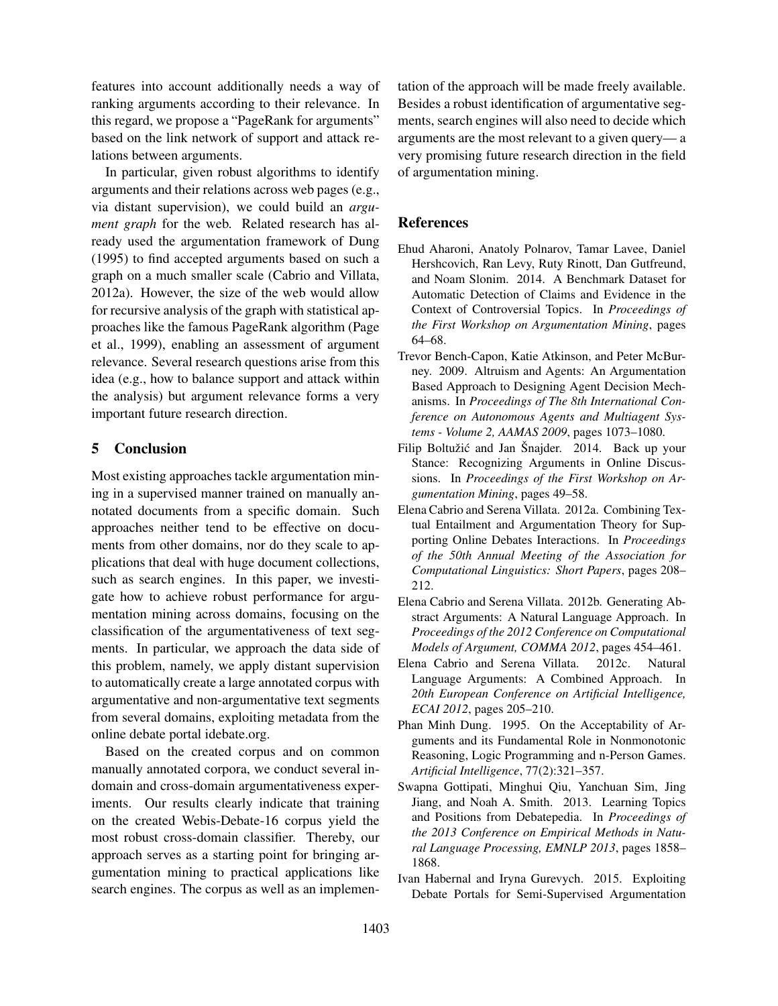features into account additionally needs a way of ranking arguments according to their relevance. In this regard, we propose a "PageRank for arguments" based on the link network of support and attack relations between arguments.

In particular, given robust algorithms to identify arguments and their relations across web pages (e.g., via distant supervision), we could build an *argument graph* for the web. Related research has already used the argumentation framework of Dung (1995) to find accepted arguments based on such a graph on a much smaller scale (Cabrio and Villata, 2012a). However, the size of the web would allow for recursive analysis of the graph with statistical approaches like the famous PageRank algorithm (Page et al., 1999), enabling an assessment of argument relevance. Several research questions arise from this idea (e.g., how to balance support and attack within the analysis) but argument relevance forms a very important future research direction.

## 5 Conclusion

Most existing approaches tackle argumentation mining in a supervised manner trained on manually annotated documents from a specific domain. Such approaches neither tend to be effective on documents from other domains, nor do they scale to applications that deal with huge document collections, such as search engines. In this paper, we investigate how to achieve robust performance for argumentation mining across domains, focusing on the classification of the argumentativeness of text segments. In particular, we approach the data side of this problem, namely, we apply distant supervision to automatically create a large annotated corpus with argumentative and non-argumentative text segments from several domains, exploiting metadata from the online debate portal idebate.org.

Based on the created corpus and on common manually annotated corpora, we conduct several indomain and cross-domain argumentativeness experiments. Our results clearly indicate that training on the created Webis-Debate-16 corpus yield the most robust cross-domain classifier. Thereby, our approach serves as a starting point for bringing argumentation mining to practical applications like search engines. The corpus as well as an implementation of the approach will be made freely available. Besides a robust identification of argumentative segments, search engines will also need to decide which arguments are the most relevant to a given query— a very promising future research direction in the field of argumentation mining.

## References

- Ehud Aharoni, Anatoly Polnarov, Tamar Lavee, Daniel Hershcovich, Ran Levy, Ruty Rinott, Dan Gutfreund, and Noam Slonim. 2014. A Benchmark Dataset for Automatic Detection of Claims and Evidence in the Context of Controversial Topics. In *Proceedings of the First Workshop on Argumentation Mining*, pages 64–68.
- Trevor Bench-Capon, Katie Atkinson, and Peter McBurney. 2009. Altruism and Agents: An Argumentation Based Approach to Designing Agent Decision Mechanisms. In *Proceedings of The 8th International Conference on Autonomous Agents and Multiagent Systems - Volume 2, AAMAS 2009*, pages 1073–1080.
- Filip Boltužić and Jan Šnajder. 2014. Back up your Stance: Recognizing Arguments in Online Discussions. In *Proceedings of the First Workshop on Argumentation Mining*, pages 49–58.
- Elena Cabrio and Serena Villata. 2012a. Combining Textual Entailment and Argumentation Theory for Supporting Online Debates Interactions. In *Proceedings of the 50th Annual Meeting of the Association for Computational Linguistics: Short Papers*, pages 208– 212.
- Elena Cabrio and Serena Villata. 2012b. Generating Abstract Arguments: A Natural Language Approach. In *Proceedings of the 2012 Conference on Computational Models of Argument, COMMA 2012*, pages 454–461.
- Elena Cabrio and Serena Villata. 2012c. Natural Language Arguments: A Combined Approach. In *20th European Conference on Artificial Intelligence, ECAI 2012*, pages 205–210.
- Phan Minh Dung. 1995. On the Acceptability of Arguments and its Fundamental Role in Nonmonotonic Reasoning, Logic Programming and n-Person Games. *Artificial Intelligence*, 77(2):321–357.
- Swapna Gottipati, Minghui Qiu, Yanchuan Sim, Jing Jiang, and Noah A. Smith. 2013. Learning Topics and Positions from Debatepedia. In *Proceedings of the 2013 Conference on Empirical Methods in Natural Language Processing, EMNLP 2013*, pages 1858– 1868.
- Ivan Habernal and Iryna Gurevych. 2015. Exploiting Debate Portals for Semi-Supervised Argumentation